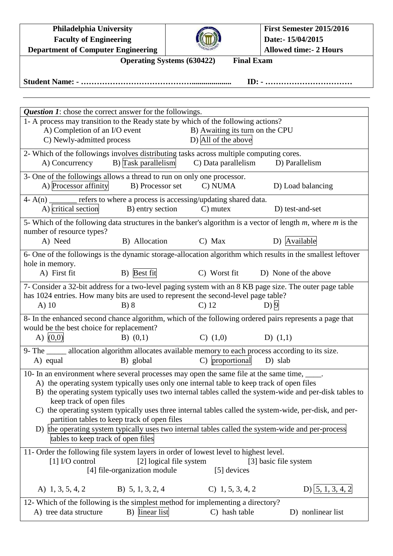| <b>Philadelphia University</b>                                                                                                                                                                |                                                        | <b>First Semester 2015/2016</b> |  |  |  |  |  |  |  |  |  |  |
|-----------------------------------------------------------------------------------------------------------------------------------------------------------------------------------------------|--------------------------------------------------------|---------------------------------|--|--|--|--|--|--|--|--|--|--|
| <b>Faculty of Engineering</b>                                                                                                                                                                 |                                                        | Date:- 15/04/2015               |  |  |  |  |  |  |  |  |  |  |
| <b>Department of Computer Engineering</b>                                                                                                                                                     |                                                        | <b>Allowed time:- 2 Hours</b>   |  |  |  |  |  |  |  |  |  |  |
| <b>Operating Systems (630422)</b><br><b>Final Exam</b>                                                                                                                                        |                                                        |                                 |  |  |  |  |  |  |  |  |  |  |
|                                                                                                                                                                                               |                                                        |                                 |  |  |  |  |  |  |  |  |  |  |
|                                                                                                                                                                                               |                                                        |                                 |  |  |  |  |  |  |  |  |  |  |
| <b>Question 1:</b> chose the correct answer for the followings.                                                                                                                               |                                                        |                                 |  |  |  |  |  |  |  |  |  |  |
| 1- A process may transition to the Ready state by which of the following actions?                                                                                                             |                                                        |                                 |  |  |  |  |  |  |  |  |  |  |
| A) Completion of an I/O event<br>C) Newly-admitted process                                                                                                                                    | B) Awaiting its turn on the CPU<br>D) All of the above |                                 |  |  |  |  |  |  |  |  |  |  |
| 2- Which of the followings involves distributing tasks across multiple computing cores.                                                                                                       |                                                        |                                 |  |  |  |  |  |  |  |  |  |  |
| B) Task parallelism<br>A) Concurrency                                                                                                                                                         | C) Data parallelism                                    | D) Parallelism                  |  |  |  |  |  |  |  |  |  |  |
| 3- One of the followings allows a thread to run on only one processor.                                                                                                                        |                                                        |                                 |  |  |  |  |  |  |  |  |  |  |
| A) Processor affinity<br>B) Processor set                                                                                                                                                     | C) NUMA                                                | D) Load balancing               |  |  |  |  |  |  |  |  |  |  |
| $4 - A(n)$ _______ refers to where a process is accessing/updating shared data.                                                                                                               |                                                        |                                 |  |  |  |  |  |  |  |  |  |  |
| B) entry section<br>A) critical section                                                                                                                                                       | $C)$ mutex                                             | D) test-and-set                 |  |  |  |  |  |  |  |  |  |  |
| 5- Which of the following data structures in the banker's algorithm is a vector of length $m$ , where $m$ is the<br>number of resource types?                                                 |                                                        |                                 |  |  |  |  |  |  |  |  |  |  |
| B) Allocation<br>A) Need                                                                                                                                                                      | $C)$ Max                                               | D) Available                    |  |  |  |  |  |  |  |  |  |  |
| 6- One of the followings is the dynamic storage-allocation algorithm which results in the smallest leftover                                                                                   |                                                        |                                 |  |  |  |  |  |  |  |  |  |  |
| hole in memory.                                                                                                                                                                               |                                                        |                                 |  |  |  |  |  |  |  |  |  |  |
| B) Best fit<br>A) First fit                                                                                                                                                                   | C) Worst fit                                           | D) None of the above            |  |  |  |  |  |  |  |  |  |  |
| 7- Consider a 32-bit address for a two-level paging system with an 8 KB page size. The outer page table<br>has 1024 entries. How many bits are used to represent the second-level page table? |                                                        |                                 |  |  |  |  |  |  |  |  |  |  |
| $A)$ 10<br>B) 8                                                                                                                                                                               | C <sub>2</sub> 12                                      | D)9                             |  |  |  |  |  |  |  |  |  |  |
| 8- In the enhanced second chance algorithm, which of the following ordered pairs represents a page that                                                                                       |                                                        |                                 |  |  |  |  |  |  |  |  |  |  |
| would be the best choice for replacement?                                                                                                                                                     |                                                        |                                 |  |  |  |  |  |  |  |  |  |  |
| A) $(0,0)$<br>$B)$ $(0,1)$                                                                                                                                                                    | $C)$ $(1,0)$                                           | D) $(1,1)$                      |  |  |  |  |  |  |  |  |  |  |
| 9- The _____ allocation algorithm allocates available memory to each process according to its size.                                                                                           |                                                        |                                 |  |  |  |  |  |  |  |  |  |  |
| B) global<br>A) equal                                                                                                                                                                         | C) proportional                                        | D) slab                         |  |  |  |  |  |  |  |  |  |  |
| 10- In an environment where several processes may open the same file at the same time, _____.                                                                                                 |                                                        |                                 |  |  |  |  |  |  |  |  |  |  |
| A) the operating system typically uses only one internal table to keep track of open files                                                                                                    |                                                        |                                 |  |  |  |  |  |  |  |  |  |  |
| B) the operating system typically uses two internal tables called the system-wide and per-disk tables to                                                                                      |                                                        |                                 |  |  |  |  |  |  |  |  |  |  |
| keep track of open files<br>C) the operating system typically uses three internal tables called the system-wide, per-disk, and per-                                                           |                                                        |                                 |  |  |  |  |  |  |  |  |  |  |
| partition tables to keep track of open files                                                                                                                                                  |                                                        |                                 |  |  |  |  |  |  |  |  |  |  |
| D) the operating system typically uses two internal tables called the system-wide and per-process                                                                                             |                                                        |                                 |  |  |  |  |  |  |  |  |  |  |
| tables to keep track of open files                                                                                                                                                            |                                                        |                                 |  |  |  |  |  |  |  |  |  |  |
| 11- Order the following file system layers in order of lowest level to highest level.                                                                                                         |                                                        |                                 |  |  |  |  |  |  |  |  |  |  |
| [1] I/O control                                                                                                                                                                               | [2] logical file system                                | [3] basic file system           |  |  |  |  |  |  |  |  |  |  |
| [4] file-organization module                                                                                                                                                                  | [5] devices                                            |                                 |  |  |  |  |  |  |  |  |  |  |
| A) $1, 3, 5, 4, 2$<br>B) 5, 1, 3, 2, 4                                                                                                                                                        | $C)$ 1, 5, 3, 4, 2                                     | D) $ 5, 1, 3, 4, 2$             |  |  |  |  |  |  |  |  |  |  |
| 12- Which of the following is the simplest method for implementing a directory?                                                                                                               |                                                        |                                 |  |  |  |  |  |  |  |  |  |  |
| B) linear list<br>A) tree data structure                                                                                                                                                      | C) hash table                                          | D) nonlinear list               |  |  |  |  |  |  |  |  |  |  |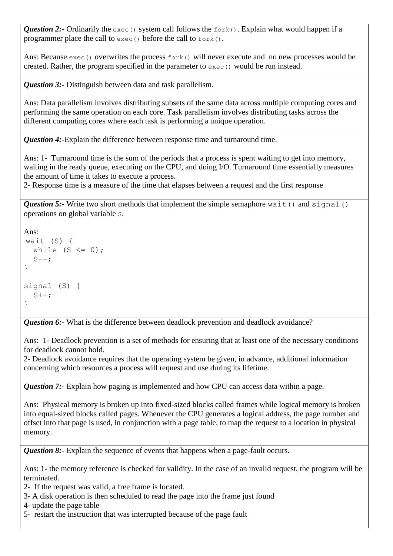*Question 2:*- Ordinarily the exec() system call follows the fork(). Explain what would happen if a programmer place the call to exec() before the call to fork().

Ans: Because  $\epsilon_{\text{xec}}$  () overwrites the process  $\epsilon_{\text{ork}}$  () will never execute and no new processes would be created. Rather, the program specified in the parameter to exec() would be run instead.

*Question 3:*-Distinguish between data and task parallelism.

Ans: Data parallelism involves distributing subsets of the same data across multiple computing cores and performing the same operation on each core. Task parallelism involves distributing tasks across the different computing cores where each task is performing a unique operation.

*Question 4:-*Explain the difference between response time and turnaround time.

Ans: 1- Turnaround time is the sum of the periods that a process is spent waiting to get into memory, waiting in the ready queue, executing on the CPU, and doing I/O. Turnaround time essentially measures the amount of time it takes to execute a process.

2- Response time is a measure of the time that elapses between a request and the first response

**Question 5:-** Write two short methods that implement the simple semaphore wait() and signal() operations on global variable S.

```
Ans: 
wait (S) {
  while (S \leq 0);
  S--;}
signal (S) {
  S++;}
```
*Question 6:*-What is the difference between deadlock prevention and deadlock avoidance?

Ans: 1- Deadlock prevention is a set of methods for ensuring that at least one of the necessary conditions for deadlock cannot hold.

2- Deadlock avoidance requires that the operating system be given, in advance, additional information concerning which resources a process will request and use during its lifetime.

*Question 7:*- Explain how paging is implemented and how CPU can access data within a page.

Ans: Physical memory is broken up into fixed-sized blocks called frames while logical memory is broken into equal-sized blocks called pages. Whenever the CPU generates a logical address, the page number and offset into that page is used, in conjunction with a page table, to map the request to a location in physical memory.

*Question 8:*- Explain the sequence of events that happens when a page-fault occurs.

Ans: 1- the memory reference is checked for validity. In the case of an invalid request, the program will be terminated.

- 2- If the request was valid, a free frame is located.
- 3- A disk operation is then scheduled to read the page into the frame just found
- 4- update the page table
- 5- restart the instruction that was interrupted because of the page fault